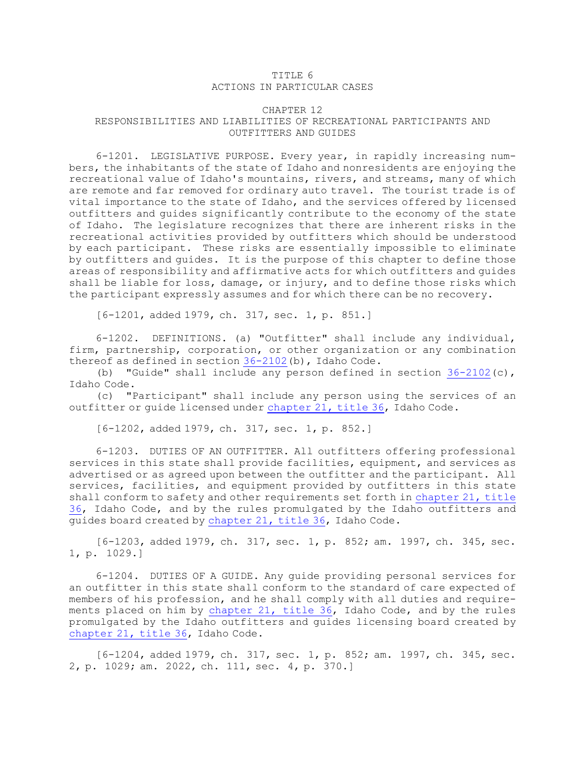## TITLE 6 ACTIONS IN PARTICULAR CASES

## CHAPTER 12 RESPONSIBILITIES AND LIABILITIES OF RECREATIONAL PARTICIPANTS AND OUTFITTERS AND GUIDES

6-1201. LEGISLATIVE PURPOSE. Every year, in rapidly increasing numbers, the inhabitants of the state of Idaho and nonresidents are enjoying the recreational value of Idaho's mountains, rivers, and streams, many of which are remote and far removed for ordinary auto travel. The tourist trade is of vital importance to the state of Idaho, and the services offered by licensed outfitters and guides significantly contribute to the economy of the state of Idaho. The legislature recognizes that there are inherent risks in the recreational activities provided by outfitters which should be understood by each participant. These risks are essentially impossible to eliminate by outfitters and guides. It is the purpose of this chapter to define those areas of responsibility and affirmative acts for which outfitters and guides shall be liable for loss, damage, or injury, and to define those risks which the participant expressly assumes and for which there can be no recovery.

[6-1201, added 1979, ch. 317, sec. 1, p. 851.]

6-1202. DEFINITIONS. (a) "Outfitter" shall include any individual, firm, partnership, corporation, or other organization or any combination thereof as defined in section [36-2102](https://legislature.idaho.gov/statutesrules/idstat/Title36/T36CH21/SECT36-2102)(b), Idaho Code.

(b) "Guide" shall include any person defined in section  $36-2102(c)$  $36-2102(c)$ , Idaho Code.

(c) "Participant" shall include any person using the services of an outfitter or guide licensed under [chapter](https://legislature.idaho.gov/statutesrules/idstat/Title36/T36CH21) 21, title 36, Idaho Code.

[6-1202, added 1979, ch. 317, sec. 1, p. 852.]

6-1203. DUTIES OF AN OUTFITTER. All outfitters offering professional services in this state shall provide facilities, equipment, and services as advertised or as agreed upon between the outfitter and the participant. All services, facilities, and equipment provided by outfitters in this state shall conform to safety and other requirements set forth in [chapter](https://legislature.idaho.gov/statutesrules/idstat/Title36/T36CH21) 21, title [36](https://legislature.idaho.gov/statutesrules/idstat/Title36/T36CH21), Idaho Code, and by the rules promulgated by the Idaho outfitters and guides board created by [chapter](https://legislature.idaho.gov/statutesrules/idstat/Title36/T36CH21) 21, title 36, Idaho Code.

[6-1203, added 1979, ch. 317, sec. 1, p. 852; am. 1997, ch. 345, sec. 1, p. 1029.]

6-1204. DUTIES OF <sup>A</sup> GUIDE. Any guide providing personal services for an outfitter in this state shall conform to the standard of care expected of members of his profession, and he shall comply with all duties and requirements placed on him by [chapter](https://legislature.idaho.gov/statutesrules/idstat/Title36/T36CH21) 21, title 36, Idaho Code, and by the rules promulgated by the Idaho outfitters and guides licensing board created by [chapter](https://legislature.idaho.gov/statutesrules/idstat/Title36/T36CH21) 21, title 36, Idaho Code.

[6-1204, added 1979, ch. 317, sec. 1, p. 852; am. 1997, ch. 345, sec. 2, p. 1029; am. 2022, ch. 111, sec. 4, p. 370.]